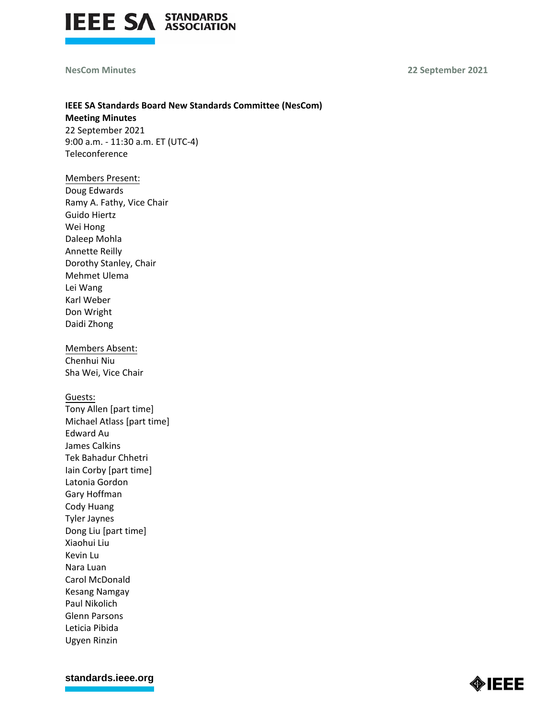

**NesCom Minutes 22 September 2021**

## **IEEE SA Standards Board New Standards Committee (NesCom) Meeting Minutes**

22 September 2021 9:00 a.m. - 11:30 a.m. ET (UTC-4) Teleconference

## Members Present:

Doug Edwards Ramy A. Fathy, Vice Chair Guido Hiertz Wei Hong Daleep Mohla Annette Reilly Dorothy Stanley, Chair Mehmet Ulema Lei Wang Karl Weber Don Wright Daidi Zhong

Members Absent: Chenhui Niu Sha Wei, Vice Chair

#### Guests:

Tony Allen [part time] Michael Atlass [part time] Edward Au James Calkins Tek Bahadur Chhetri Iain Corby [part time] Latonia Gordon Gary Hoffman Cody Huang Tyler Jaynes Dong Liu [part time] Xiaohui Liu Kevin Lu Nara Luan Carol McDonald Kesang Namgay Paul Nikolich Glenn Parsons Leticia Pibida Ugyen Rinzin

**[standards.ieee.org](http://standards.ieee.org/)**

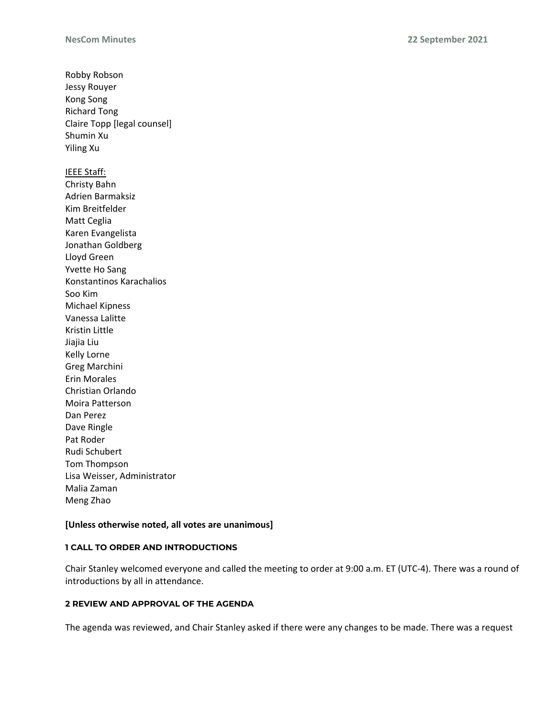Robby Robson Jessy Rouyer Kong Song Richard Tong Claire Topp [legal counsel] Shumin Xu Yiling Xu IEEE Staff: Christy Bahn Adrien Barmaksiz Kim Breitfelder Matt Ceglia Karen Evangelista Jonathan Goldberg Lloyd Green Yvette Ho Sang Konstantinos Karachalios Soo Kim Michael Kipness Vanessa Lalitte Kristin Little Jiajia Liu Kelly Lorne Greg Marchini Erin Morales Christian Orlando Moira Patterson Dan Perez Dave Ringle Pat Roder Rudi Schubert Tom Thompson Lisa Weisser, Administrator Malia Zaman Meng Zhao

## **[Unless otherwise noted, all votes are unanimous]**

## **1 CALL TO ORDER AND INTRODUCTIONS**

Chair Stanley welcomed everyone and called the meeting to order at 9:00 a.m. ET (UTC-4). There was a round of introductions by all in attendance.

## **2 REVIEW AND APPROVAL OF THE AGENDA**

The agenda was reviewed, and Chair Stanley asked if there were any changes to be made. There was a request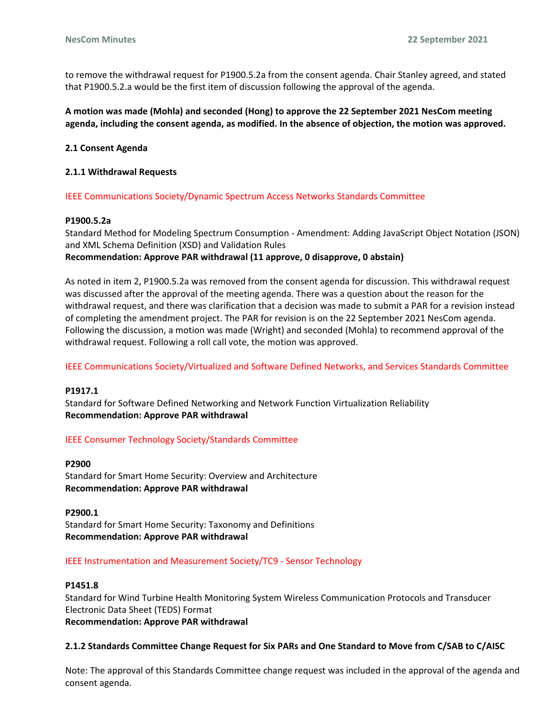to remove the withdrawal request for P1900.5.2a from the consent agenda. Chair Stanley agreed, and stated that P1900.5.2.a would be the first item of discussion following the approval of the agenda.

**A motion was made (Mohla) and seconded (Hong) to approve the 22 September 2021 NesCom meeting agenda, including the consent agenda, as modified. In the absence of objection, the motion was approved.**

## **2.1 Consent Agenda**

#### **2.1.1 Withdrawal Requests**

IEEE Communications Society/Dynamic Spectrum Access Networks Standards Committee

#### **P1900.5.2a**

Standard Method for Modeling Spectrum Consumption - Amendment: Adding JavaScript Object Notation (JSON) and XML Schema Definition (XSD) and Validation Rules **Recommendation: Approve PAR withdrawal (11 approve, 0 disapprove, 0 abstain)**

As noted in item 2, P1900.5.2a was removed from the consent agenda for discussion. This withdrawal request was discussed after the approval of the meeting agenda. There was a question about the reason for the withdrawal request, and there was clarification that a decision was made to submit a PAR for a revision instead of completing the amendment project. The PAR for revision is on the 22 September 2021 NesCom agenda. Following the discussion, a motion was made (Wright) and seconded (Mohla) to recommend approval of the withdrawal request. Following a roll call vote, the motion was approved.

IEEE Communications Society/Virtualized and Software Defined Networks, and Services Standards Committee

#### **P1917.1**

Standard for Software Defined Networking and Network Function Virtualization Reliability **Recommendation: Approve PAR withdrawal**

## IEEE Consumer Technology Society/Standards Committee

#### **P2900**

Standard for Smart Home Security: Overview and Architecture **Recommendation: Approve PAR withdrawal**

**P2900.1** Standard for Smart Home Security: Taxonomy and Definitions **Recommendation: Approve PAR withdrawal**

#### IEEE Instrumentation and Measurement Society/TC9 - Sensor Technology

#### **P1451.8**

Standard for Wind Turbine Health Monitoring System Wireless Communication Protocols and Transducer Electronic Data Sheet (TEDS) Format **Recommendation: Approve PAR withdrawal**

## **2.1.2 Standards Committee Change Request for Six PARs and One Standard to Move from C/SAB to C/AISC**

Note: The approval of this Standards Committee change request was included in the approval of the agenda and consent agenda.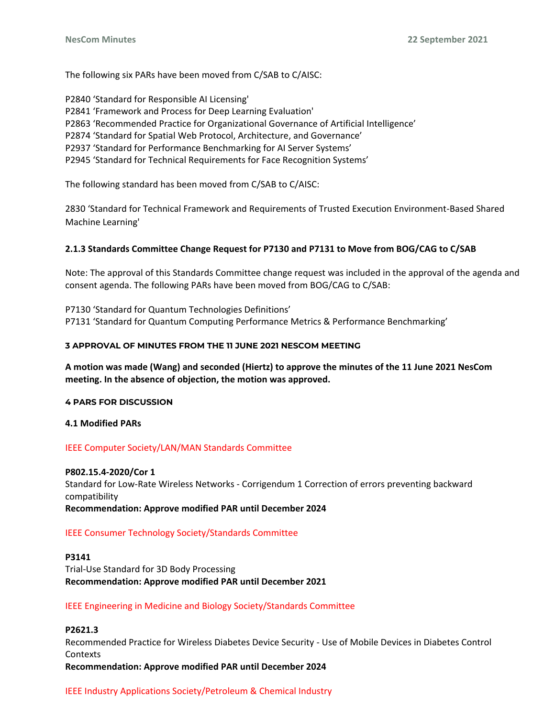The following six PARs have been moved from C/SAB to C/AISC:

P2840 'Standard for Responsible AI Licensing' P2841 'Framework and Process for Deep Learning Evaluation' P2863 'Recommended Practice for Organizational Governance of Artificial Intelligence' P2874 'Standard for Spatial Web Protocol, Architecture, and Governance' P2937 'Standard for Performance Benchmarking for AI Server Systems' P2945 'Standard for Technical Requirements for Face Recognition Systems'

The following standard has been moved from C/SAB to C/AISC:

2830 'Standard for Technical Framework and Requirements of Trusted Execution Environment-Based Shared Machine Learning'

# **2.1.3 Standards Committee Change Request for P7130 and P7131 to Move from BOG/CAG to C/SAB**

Note: The approval of this Standards Committee change request was included in the approval of the agenda and consent agenda. The following PARs have been moved from BOG/CAG to C/SAB:

P7130 'Standard for Quantum Technologies Definitions' P7131 'Standard for Quantum Computing Performance Metrics & Performance Benchmarking'

# **3 APPROVAL OF MINUTES FROM THE 11 JUNE 2021 NESCOM MEETING**

**A motion was made (Wang) and seconded (Hiertz) to approve the minutes of the 11 June 2021 NesCom meeting. In the absence of objection, the motion was approved.**

## **4 PARS FOR DISCUSSION**

**4.1 Modified PARs**

# IEEE Computer Society/LAN/MAN Standards Committee

## **P802.15.4-2020/Cor 1**

Standard for Low-Rate Wireless Networks - Corrigendum 1 Correction of errors preventing backward compatibility **Recommendation: Approve modified PAR until December 2024**

# IEEE Consumer Technology Society/Standards Committee

**P3141** Trial-Use Standard for 3D Body Processing **Recommendation: Approve modified PAR until December 2021**

IEEE Engineering in Medicine and Biology Society/Standards Committee

# **P2621.3**

Recommended Practice for Wireless Diabetes Device Security - Use of Mobile Devices in Diabetes Control Contexts

**Recommendation: Approve modified PAR until December 2024**

## IEEE Industry Applications Society/Petroleum & Chemical Industry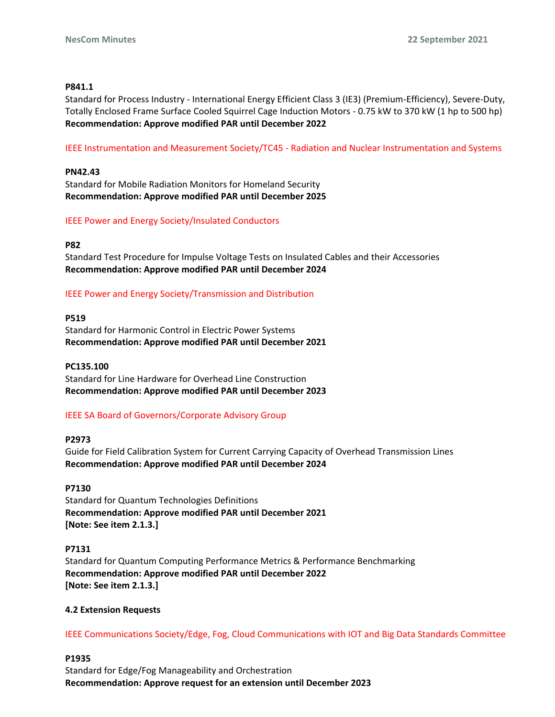## **P841.1**

Standard for Process Industry - International Energy Efficient Class 3 (IE3) (Premium-Efficiency), Severe-Duty, Totally Enclosed Frame Surface Cooled Squirrel Cage Induction Motors - 0.75 kW to 370 kW (1 hp to 500 hp) **Recommendation: Approve modified PAR until December 2022**

IEEE Instrumentation and Measurement Society/TC45 - Radiation and Nuclear Instrumentation and Systems

## **PN42.43**

Standard for Mobile Radiation Monitors for Homeland Security **Recommendation: Approve modified PAR until December 2025**

## IEEE Power and Energy Society/Insulated Conductors

## **P82**

Standard Test Procedure for Impulse Voltage Tests on Insulated Cables and their Accessories **Recommendation: Approve modified PAR until December 2024**

IEEE Power and Energy Society/Transmission and Distribution

## **P519**

Standard for Harmonic Control in Electric Power Systems **Recommendation: Approve modified PAR until December 2021**

## **PC135.100**

Standard for Line Hardware for Overhead Line Construction **Recommendation: Approve modified PAR until December 2023**

# IEEE SA Board of Governors/Corporate Advisory Group

## **P2973**

Guide for Field Calibration System for Current Carrying Capacity of Overhead Transmission Lines **Recommendation: Approve modified PAR until December 2024**

## **P7130**

Standard for Quantum Technologies Definitions **Recommendation: Approve modified PAR until December 2021 [Note: See item 2.1.3.]**

## **P7131**

Standard for Quantum Computing Performance Metrics & Performance Benchmarking **Recommendation: Approve modified PAR until December 2022 [Note: See item 2.1.3.]**

## **4.2 Extension Requests**

IEEE Communications Society/Edge, Fog, Cloud Communications with IOT and Big Data Standards Committee

## **P1935**

Standard for Edge/Fog Manageability and Orchestration **Recommendation: Approve request for an extension until December 2023**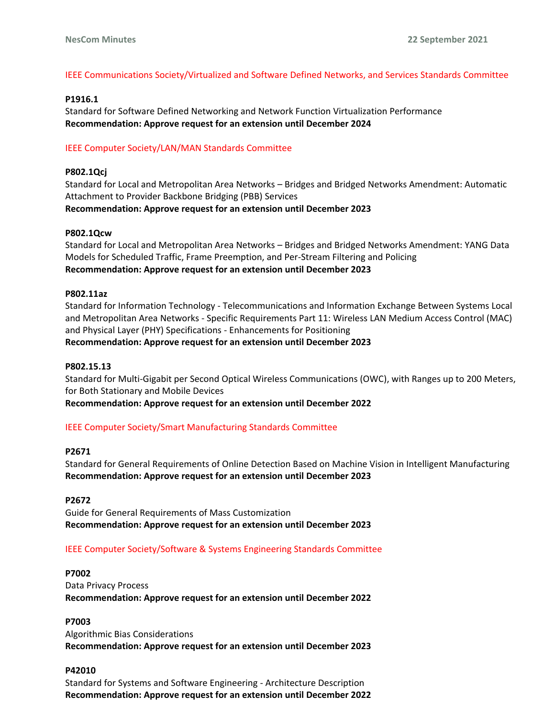# IEEE Communications Society/Virtualized and Software Defined Networks, and Services Standards Committee

## **P1916.1**

Standard for Software Defined Networking and Network Function Virtualization Performance **Recommendation: Approve request for an extension until December 2024**

# IEEE Computer Society/LAN/MAN Standards Committee

## **P802.1Qcj**

Standard for Local and Metropolitan Area Networks – Bridges and Bridged Networks Amendment: Automatic Attachment to Provider Backbone Bridging (PBB) Services **Recommendation: Approve request for an extension until December 2023**

## **P802.1Qcw**

Standard for Local and Metropolitan Area Networks – Bridges and Bridged Networks Amendment: YANG Data Models for Scheduled Traffic, Frame Preemption, and Per-Stream Filtering and Policing **Recommendation: Approve request for an extension until December 2023**

## **P802.11az**

Standard for Information Technology - Telecommunications and Information Exchange Between Systems Local and Metropolitan Area Networks - Specific Requirements Part 11: Wireless LAN Medium Access Control (MAC) and Physical Layer (PHY) Specifications - Enhancements for Positioning **Recommendation: Approve request for an extension until December 2023**

## **P802.15.13**

Standard for Multi-Gigabit per Second Optical Wireless Communications (OWC), with Ranges up to 200 Meters, for Both Stationary and Mobile Devices

**Recommendation: Approve request for an extension until December 2022**

# IEEE Computer Society/Smart Manufacturing Standards Committee

## **P2671**

Standard for General Requirements of Online Detection Based on Machine Vision in Intelligent Manufacturing **Recommendation: Approve request for an extension until December 2023**

## **P2672**

Guide for General Requirements of Mass Customization **Recommendation: Approve request for an extension until December 2023**

## IEEE Computer Society/Software & Systems Engineering Standards Committee

## **P7002**

Data Privacy Process **Recommendation: Approve request for an extension until December 2022**

## **P7003**

Algorithmic Bias Considerations **Recommendation: Approve request for an extension until December 2023**

## **P42010**

Standard for Systems and Software Engineering - Architecture Description **Recommendation: Approve request for an extension until December 2022**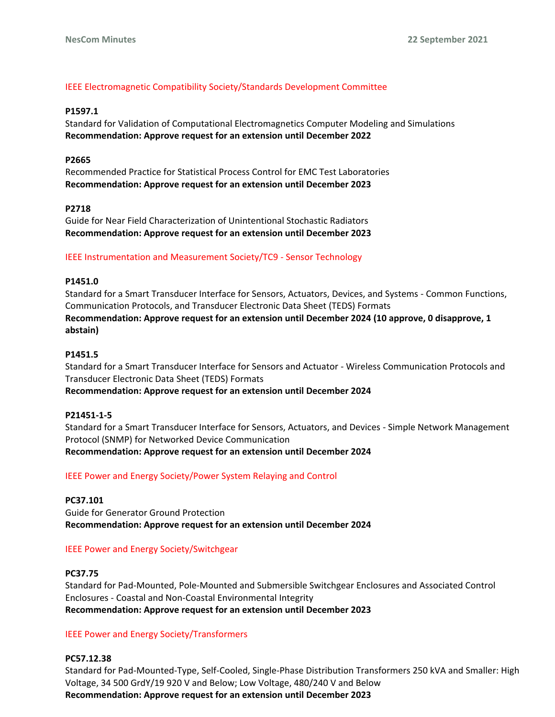# IEEE Electromagnetic Compatibility Society/Standards Development Committee

#### **P1597.1**

Standard for Validation of Computational Electromagnetics Computer Modeling and Simulations **Recommendation: Approve request for an extension until December 2022**

## **P2665**

Recommended Practice for Statistical Process Control for EMC Test Laboratories **Recommendation: Approve request for an extension until December 2023**

#### **P2718**

Guide for Near Field Characterization of Unintentional Stochastic Radiators **Recommendation: Approve request for an extension until December 2023**

#### IEEE Instrumentation and Measurement Society/TC9 - Sensor Technology

#### **P1451.0**

Standard for a Smart Transducer Interface for Sensors, Actuators, Devices, and Systems - Common Functions, Communication Protocols, and Transducer Electronic Data Sheet (TEDS) Formats **Recommendation: Approve request for an extension until December 2024 (10 approve, 0 disapprove, 1 abstain)**

#### **P1451.5**

Standard for a Smart Transducer Interface for Sensors and Actuator - Wireless Communication Protocols and Transducer Electronic Data Sheet (TEDS) Formats **Recommendation: Approve request for an extension until December 2024**

## **P21451-1-5**

Standard for a Smart Transducer Interface for Sensors, Actuators, and Devices - Simple Network Management Protocol (SNMP) for Networked Device Communication **Recommendation: Approve request for an extension until December 2024**

## IEEE Power and Energy Society/Power System Relaying and Control

## **PC37.101**

Guide for Generator Ground Protection **Recommendation: Approve request for an extension until December 2024**

## IEEE Power and Energy Society/Switchgear

## **PC37.75**

Standard for Pad-Mounted, Pole-Mounted and Submersible Switchgear Enclosures and Associated Control Enclosures - Coastal and Non-Coastal Environmental Integrity **Recommendation: Approve request for an extension until December 2023**

## IEEE Power and Energy Society/Transformers

## **PC57.12.38**

Standard for Pad-Mounted-Type, Self-Cooled, Single-Phase Distribution Transformers 250 kVA and Smaller: High Voltage, 34 500 GrdY/19 920 V and Below; Low Voltage, 480/240 V and Below **Recommendation: Approve request for an extension until December 2023**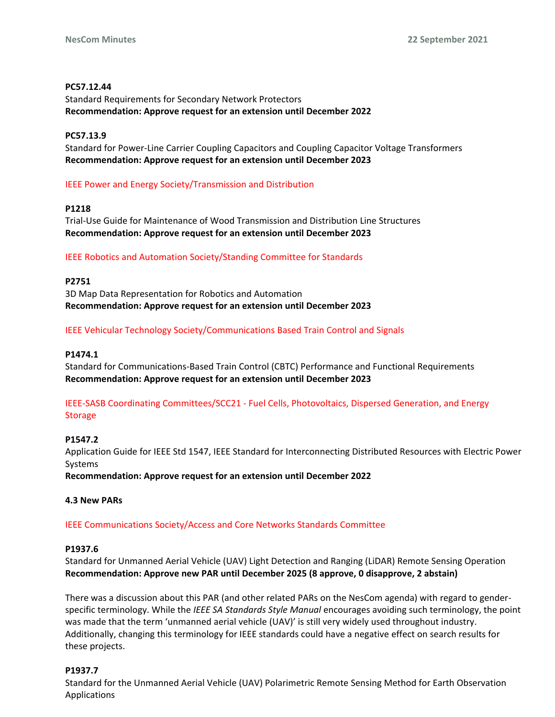## **PC57.12.44**

Standard Requirements for Secondary Network Protectors **Recommendation: Approve request for an extension until December 2022**

## **PC57.13.9**

Standard for Power-Line Carrier Coupling Capacitors and Coupling Capacitor Voltage Transformers **Recommendation: Approve request for an extension until December 2023**

# IEEE Power and Energy Society/Transmission and Distribution

# **P1218**

Trial-Use Guide for Maintenance of Wood Transmission and Distribution Line Structures **Recommendation: Approve request for an extension until December 2023**

## IEEE Robotics and Automation Society/Standing Committee for Standards

## **P2751**

3D Map Data Representation for Robotics and Automation **Recommendation: Approve request for an extension until December 2023**

## IEEE Vehicular Technology Society/Communications Based Train Control and Signals

# **P1474.1**

Standard for Communications-Based Train Control (CBTC) Performance and Functional Requirements **Recommendation: Approve request for an extension until December 2023**

# IEEE-SASB Coordinating Committees/SCC21 - Fuel Cells, Photovoltaics, Dispersed Generation, and Energy **Storage**

## **P1547.2**

Application Guide for IEEE Std 1547, IEEE Standard for Interconnecting Distributed Resources with Electric Power Systems

**Recommendation: Approve request for an extension until December 2022**

# **4.3 New PARs**

# IEEE Communications Society/Access and Core Networks Standards Committee

## **P1937.6**

Standard for Unmanned Aerial Vehicle (UAV) Light Detection and Ranging (LiDAR) Remote Sensing Operation **Recommendation: Approve new PAR until December 2025 (8 approve, 0 disapprove, 2 abstain)**

There was a discussion about this PAR (and other related PARs on the NesCom agenda) with regard to genderspecific terminology. While the *IEEE SA Standards Style Manual* encourages avoiding such terminology, the point was made that the term 'unmanned aerial vehicle (UAV)' is still very widely used throughout industry. Additionally, changing this terminology for IEEE standards could have a negative effect on search results for these projects.

# **P1937.7**

Standard for the Unmanned Aerial Vehicle (UAV) Polarimetric Remote Sensing Method for Earth Observation Applications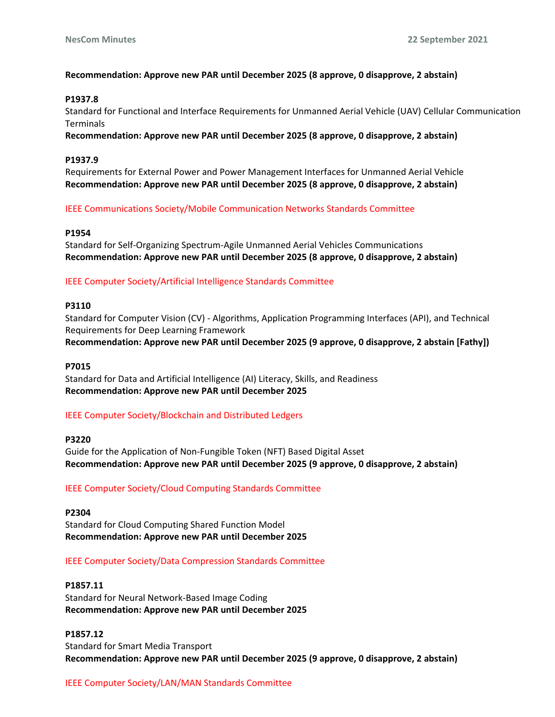# **Recommendation: Approve new PAR until December 2025 (8 approve, 0 disapprove, 2 abstain)**

## **P1937.8**

Standard for Functional and Interface Requirements for Unmanned Aerial Vehicle (UAV) Cellular Communication Terminals

**Recommendation: Approve new PAR until December 2025 (8 approve, 0 disapprove, 2 abstain)**

## **P1937.9**

Requirements for External Power and Power Management Interfaces for Unmanned Aerial Vehicle **Recommendation: Approve new PAR until December 2025 (8 approve, 0 disapprove, 2 abstain)**

# IEEE Communications Society/Mobile Communication Networks Standards Committee

## **P1954**

Standard for Self-Organizing Spectrum-Agile Unmanned Aerial Vehicles Communications **Recommendation: Approve new PAR until December 2025 (8 approve, 0 disapprove, 2 abstain)**

# IEEE Computer Society/Artificial Intelligence Standards Committee

## **P3110**

Standard for Computer Vision (CV) - Algorithms, Application Programming Interfaces (API), and Technical Requirements for Deep Learning Framework **Recommendation: Approve new PAR until December 2025 (9 approve, 0 disapprove, 2 abstain [Fathy])**

## **P7015**

Standard for Data and Artificial Intelligence (AI) Literacy, Skills, and Readiness **Recommendation: Approve new PAR until December 2025**

# IEEE Computer Society/Blockchain and Distributed Ledgers

**P3220**

Guide for the Application of Non-Fungible Token (NFT) Based Digital Asset **Recommendation: Approve new PAR until December 2025 (9 approve, 0 disapprove, 2 abstain)**

# IEEE Computer Society/Cloud Computing Standards Committee

**P2304** Standard for Cloud Computing Shared Function Model **Recommendation: Approve new PAR until December 2025**

# IEEE Computer Society/Data Compression Standards Committee

## **P1857.11**

Standard for Neural Network-Based Image Coding **Recommendation: Approve new PAR until December 2025**

# **P1857.12**

Standard for Smart Media Transport **Recommendation: Approve new PAR until December 2025 (9 approve, 0 disapprove, 2 abstain)**

# IEEE Computer Society/LAN/MAN Standards Committee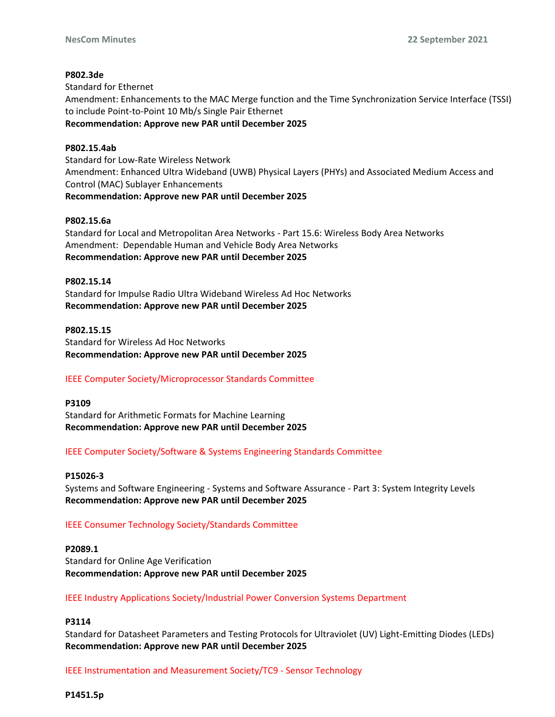# **P802.3de**

Standard for Ethernet Amendment: Enhancements to the MAC Merge function and the Time Synchronization Service Interface (TSSI) to include Point-to-Point 10 Mb/s Single Pair Ethernet **Recommendation: Approve new PAR until December 2025**

## **P802.15.4ab**

Standard for Low-Rate Wireless Network Amendment: Enhanced Ultra Wideband (UWB) Physical Layers (PHYs) and Associated Medium Access and Control (MAC) Sublayer Enhancements **Recommendation: Approve new PAR until December 2025**

## **P802.15.6a**

Standard for Local and Metropolitan Area Networks - Part 15.6: Wireless Body Area Networks Amendment: Dependable Human and Vehicle Body Area Networks **Recommendation: Approve new PAR until December 2025**

## **P802.15.14**

Standard for Impulse Radio Ultra Wideband Wireless Ad Hoc Networks **Recommendation: Approve new PAR until December 2025**

## **P802.15.15**

Standard for Wireless Ad Hoc Networks **Recommendation: Approve new PAR until December 2025**

# IEEE Computer Society/Microprocessor Standards Committee

## **P3109**

Standard for Arithmetic Formats for Machine Learning **Recommendation: Approve new PAR until December 2025**

# IEEE Computer Society/Software & Systems Engineering Standards Committee

## **P15026-3**

Systems and Software Engineering - Systems and Software Assurance - Part 3: System Integrity Levels **Recommendation: Approve new PAR until December 2025**

# IEEE Consumer Technology Society/Standards Committee

## **P2089.1**

Standard for Online Age Verification **Recommendation: Approve new PAR until December 2025**

# IEEE Industry Applications Society/Industrial Power Conversion Systems Department

# **P3114**

Standard for Datasheet Parameters and Testing Protocols for Ultraviolet (UV) Light-Emitting Diodes (LEDs) **Recommendation: Approve new PAR until December 2025**

IEEE Instrumentation and Measurement Society/TC9 - Sensor Technology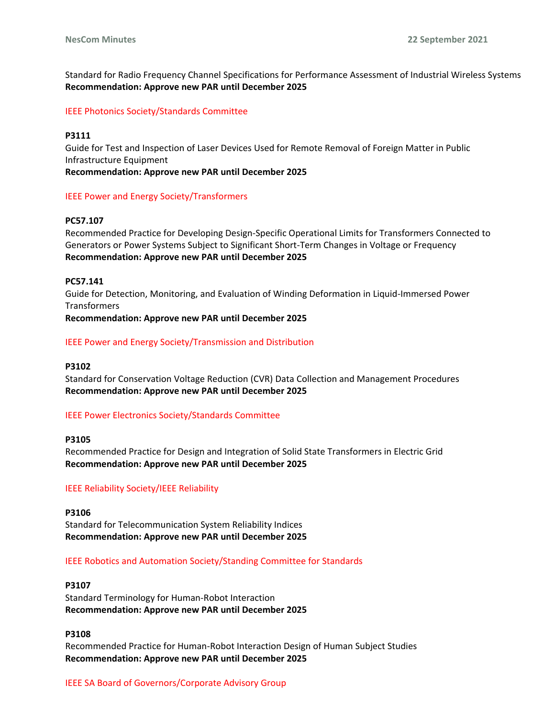Standard for Radio Frequency Channel Specifications for Performance Assessment of Industrial Wireless Systems **Recommendation: Approve new PAR until December 2025**

IEEE Photonics Society/Standards Committee

## **P3111**

Guide for Test and Inspection of Laser Devices Used for Remote Removal of Foreign Matter in Public Infrastructure Equipment

**Recommendation: Approve new PAR until December 2025**

## IEEE Power and Energy Society/Transformers

## **PC57.107**

Recommended Practice for Developing Design-Specific Operational Limits for Transformers Connected to Generators or Power Systems Subject to Significant Short-Term Changes in Voltage or Frequency **Recommendation: Approve new PAR until December 2025**

## **PC57.141**

Guide for Detection, Monitoring, and Evaluation of Winding Deformation in Liquid-Immersed Power Transformers

**Recommendation: Approve new PAR until December 2025**

## IEEE Power and Energy Society/Transmission and Distribution

## **P3102**

Standard for Conservation Voltage Reduction (CVR) Data Collection and Management Procedures **Recommendation: Approve new PAR until December 2025**

## IEEE Power Electronics Society/Standards Committee

**P3105**

Recommended Practice for Design and Integration of Solid State Transformers in Electric Grid **Recommendation: Approve new PAR until December 2025**

## IEEE Reliability Society/IEEE Reliability

**P3106** Standard for Telecommunication System Reliability Indices **Recommendation: Approve new PAR until December 2025**

## IEEE Robotics and Automation Society/Standing Committee for Standards

## **P3107**

Standard Terminology for Human-Robot Interaction **Recommendation: Approve new PAR until December 2025**

## **P3108**

Recommended Practice for Human-Robot Interaction Design of Human Subject Studies **Recommendation: Approve new PAR until December 2025**

## IEEE SA Board of Governors/Corporate Advisory Group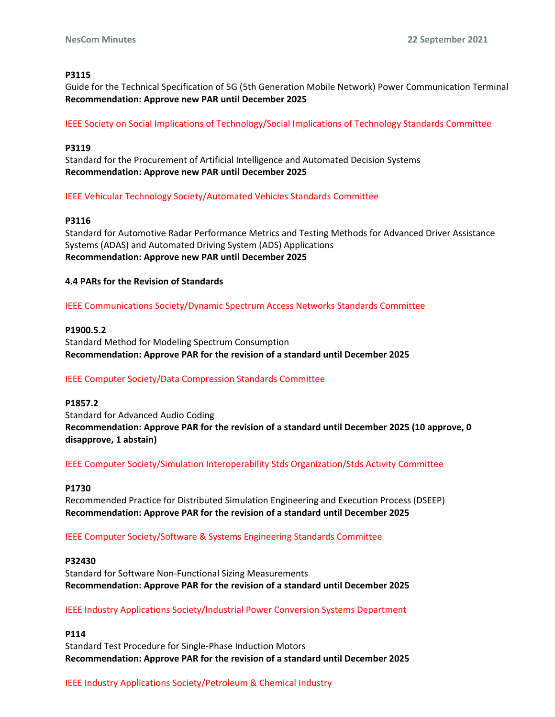## **P3115**

Guide for the Technical Specification of 5G (5th Generation Mobile Network) Power Communication Terminal **Recommendation: Approve new PAR until December 2025**

IEEE Society on Social Implications of Technology/Social Implications of Technology Standards Committee

## **P3119**

Standard for the Procurement of Artificial Intelligence and Automated Decision Systems **Recommendation: Approve new PAR until December 2025**

IEEE Vehicular Technology Society/Automated Vehicles Standards Committee

## **P3116**

Standard for Automotive Radar Performance Metrics and Testing Methods for Advanced Driver Assistance Systems (ADAS) and Automated Driving System (ADS) Applications **Recommendation: Approve new PAR until December 2025**

**4.4 PARs for the Revision of Standards**

IEEE Communications Society/Dynamic Spectrum Access Networks Standards Committee

## **P1900.5.2**

Standard Method for Modeling Spectrum Consumption **Recommendation: Approve PAR for the revision of a standard until December 2025**

# IEEE Computer Society/Data Compression Standards Committee

**P1857.2** Standard for Advanced Audio Coding **Recommendation: Approve PAR for the revision of a standard until December 2025 (10 approve, 0 disapprove, 1 abstain)**

IEEE Computer Society/Simulation Interoperability Stds Organization/Stds Activity Committee

## **P1730**

Recommended Practice for Distributed Simulation Engineering and Execution Process (DSEEP) **Recommendation: Approve PAR for the revision of a standard until December 2025**

IEEE Computer Society/Software & Systems Engineering Standards Committee

## **P32430**

Standard for Software Non-Functional Sizing Measurements **Recommendation: Approve PAR for the revision of a standard until December 2025**

IEEE Industry Applications Society/Industrial Power Conversion Systems Department

**P114**

Standard Test Procedure for Single-Phase Induction Motors **Recommendation: Approve PAR for the revision of a standard until December 2025**

# IEEE Industry Applications Society/Petroleum & Chemical Industry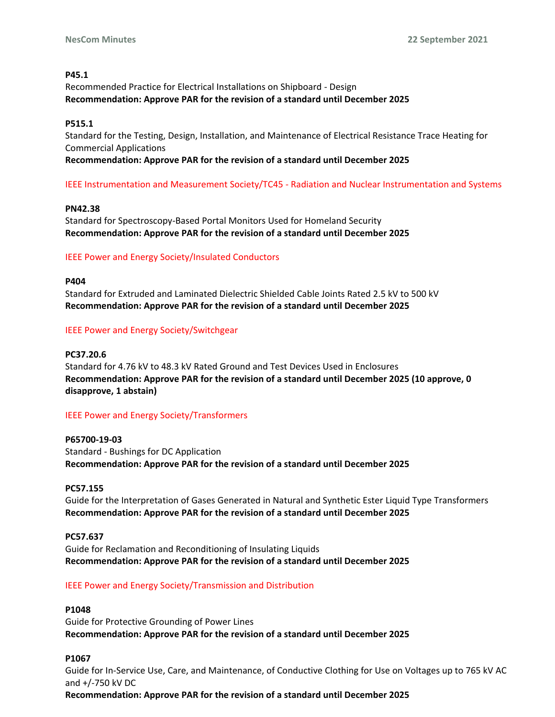## **P45.1**

Recommended Practice for Electrical Installations on Shipboard - Design **Recommendation: Approve PAR for the revision of a standard until December 2025**

## **P515.1**

Standard for the Testing, Design, Installation, and Maintenance of Electrical Resistance Trace Heating for Commercial Applications

# **Recommendation: Approve PAR for the revision of a standard until December 2025**

# IEEE Instrumentation and Measurement Society/TC45 - Radiation and Nuclear Instrumentation and Systems

## **PN42.38**

Standard for Spectroscopy-Based Portal Monitors Used for Homeland Security **Recommendation: Approve PAR for the revision of a standard until December 2025**

## IEEE Power and Energy Society/Insulated Conductors

## **P404**

Standard for Extruded and Laminated Dielectric Shielded Cable Joints Rated 2.5 kV to 500 kV **Recommendation: Approve PAR for the revision of a standard until December 2025**

## IEEE Power and Energy Society/Switchgear

## **PC37.20.6**

Standard for 4.76 kV to 48.3 kV Rated Ground and Test Devices Used in Enclosures **Recommendation: Approve PAR for the revision of a standard until December 2025 (10 approve, 0 disapprove, 1 abstain)**

## IEEE Power and Energy Society/Transformers

**P65700-19-03** Standard - Bushings for DC Application **Recommendation: Approve PAR for the revision of a standard until December 2025**

## **PC57.155**

Guide for the Interpretation of Gases Generated in Natural and Synthetic Ester Liquid Type Transformers **Recommendation: Approve PAR for the revision of a standard until December 2025**

## **PC57.637**

Guide for Reclamation and Reconditioning of Insulating Liquids **Recommendation: Approve PAR for the revision of a standard until December 2025**

# IEEE Power and Energy Society/Transmission and Distribution

## **P1048**

Guide for Protective Grounding of Power Lines **Recommendation: Approve PAR for the revision of a standard until December 2025**

# **P1067**

Guide for In-Service Use, Care, and Maintenance, of Conductive Clothing for Use on Voltages up to 765 kV AC and +/-750 kV DC

**Recommendation: Approve PAR for the revision of a standard until December 2025**